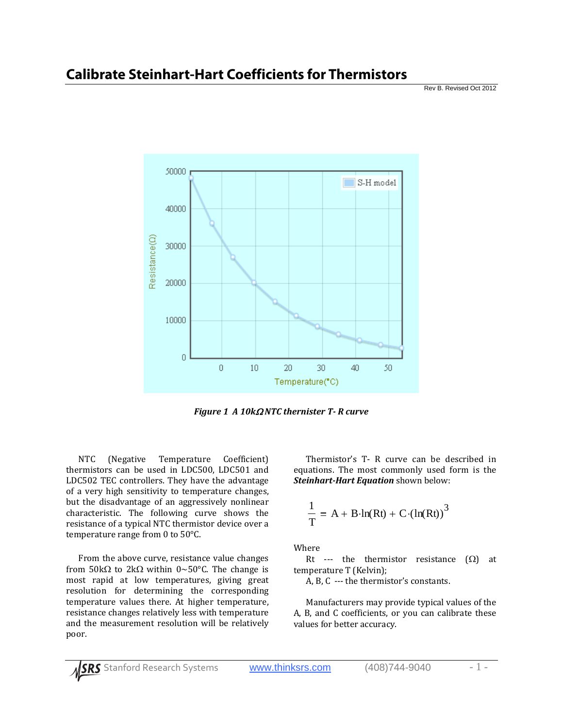

*Figure 1 A 10k NTC thernister T R curve*

NTC (Negative Temperature Coefficient) thermistors can be used in LDC500, LDC501 and LDC502 TEC controllers. They have the advantage of a very high sensitivity to temperature changes, but the disadvantage of an aggressively nonlinear characteristic. The following curve shows the resistance of a typical NTC thermistor device over a temperature range from 0 to 50°C.

From the above curve, resistance value changes from  $50k\Omega$  to  $2k\Omega$  within  $0 \sim 50^{\circ}$ C. The change is most rapid at low temperatures, giving great resolution for determining the corresponding temperature values there. At higher temperature, resistance changes relatively less with temperature and the measurement resolution will be relatively poor.

Thermistor's T-R curve can be described in equations. The most commonly used form is the *SteinhartHart Equation* shown below:

$$
\frac{1}{T} = A + B \cdot ln(Rt) + C \cdot (ln(Rt))^{3}
$$

Where

Rt --- the thermistor resistance  $(\Omega)$  at temperature T (Kelvin);

A, B, C --- the thermistor's constants.

Manufacturers may provide typical values of the A, B, and C coefficients, or you can calibrate these values for better accuracy.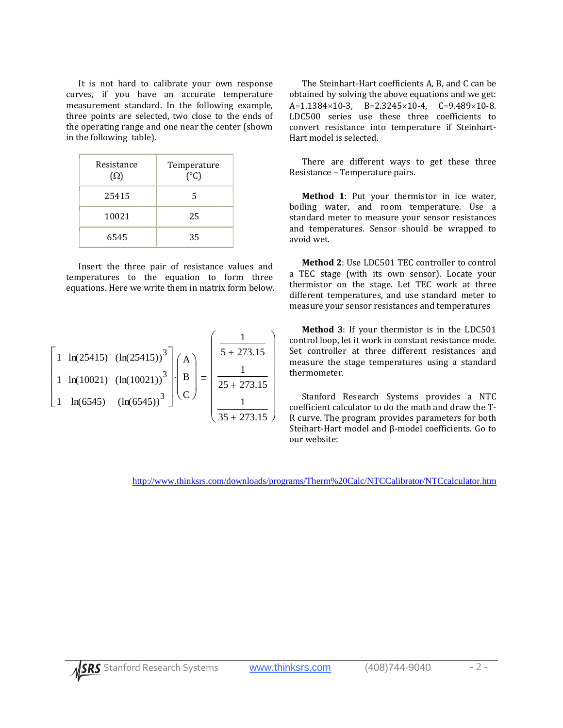It is not hard to calibrate your own response curves, if you have an accurate temperature measurement standard. In the following example, three points are selected, two close to the ends of the operating range and one near the center (shown in the following table).

| Resistance<br>$(\Omega)$ | Temperature<br>$(^{\circ}C)$ |
|--------------------------|------------------------------|
| 25415                    | 5                            |
| 10021                    | 25                           |
| 6545                     | 35                           |

Insert the three pair of resistance values and temperatures to the equation to form three equations. Here we write them in matrix form below.

$$
\begin{bmatrix} 1 & \ln(25415) & (\ln(25415))^3 \\ 1 & \ln(10021) & (\ln(10021))^3 \\ 1 & \ln(6545) & (\ln(6545))^3 \end{bmatrix} \cdot \begin{pmatrix} A \\ B \\ C \end{pmatrix} = \begin{pmatrix} \frac{1}{5 + 273.15} \\ \frac{1}{25 + 273.15} \\ \frac{1}{35 + 273.15} \end{pmatrix}
$$

The Steinhart‐Hart coefficients A, B, and C can be obtained by solving the above equations and we get:  $A=1.1384\times10-3$ ,  $B=2.3245\times10-4$ ,  $C=9.489\times10-8$ . LDC500 series use these three coefficients to convert resistance into temperature if Steinhart‐ Hart model is selected.

There are different ways to get these three Resistance – Temperature pairs.

**Method 1**: Put your thermistor in ice water, boiling water, and room temperature. Use a standard meter to measure your sensor resistances and temperatures. Sensor should be wrapped to avoid wet.

**Method 2**: Use LDC501 TEC controller to control a TEC stage (with its own sensor). Locate your thermistor on the stage. Let TEC work at three different temperatures, and use standard meter to measure your sensor resistances and temperatures

**Method 3**: If your thermistor is in the LDC501 control loop, let it work in constant resistance mode. Set controller at three different resistances and measure the stage temperatures using a standard thermometer.

Stanford Research Systems provides a NTC coefficient calculator to do the math and draw the T‐ R curve. The program provides parameters for both Steihart‐Hart model and β‐model coefficients. Go to our website:

http://www.thinksrs.com/downloads/programs/Therm%20Calc/NTCCalibrator/NTCcalculator.htm